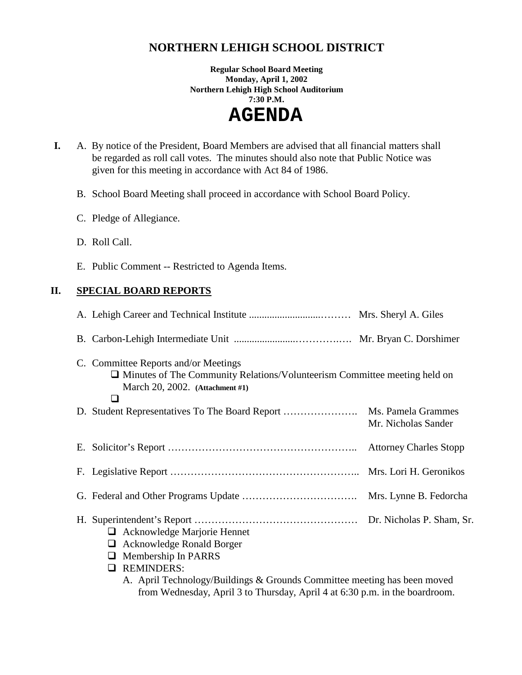# **NORTHERN LEHIGH SCHOOL DISTRICT**

**Regular School Board Meeting Monday, April 1, 2002 Northern Lehigh High School Auditorium 7:30 P.M.** 

 **AGENDA** 

 **I.** A. By notice of the President, Board Members are advised that all financial matters shall be regarded as roll call votes. The minutes should also note that Public Notice was given for this meeting in accordance with Act 84 of 1986.

B. School Board Meeting shall proceed in accordance with School Board Policy.

- C. Pledge of Allegiance.
- D. Roll Call.
- E. Public Comment -- Restricted to Agenda Items.

## **II. SPECIAL BOARD REPORTS**

| C. Committee Reports and/or Meetings<br>$\Box$ Minutes of The Community Relations/Volunteerism Committee meeting held on<br>March 20, 2002. (Attachment #1)<br>ப                                                                          |                     |  |
|-------------------------------------------------------------------------------------------------------------------------------------------------------------------------------------------------------------------------------------------|---------------------|--|
| D. Student Representatives To The Board Report  Ms. Pamela Grammes                                                                                                                                                                        | Mr. Nicholas Sander |  |
|                                                                                                                                                                                                                                           |                     |  |
|                                                                                                                                                                                                                                           |                     |  |
|                                                                                                                                                                                                                                           |                     |  |
| $\Box$ Acknowledge Marjorie Hennet<br>$\Box$ Acknowledge Ronald Borger<br>$\Box$ Membership In PARRS<br><b>REMINDERS:</b><br>ப<br>$\lambda = \lambda$ and $\pi$ , the term (D. Tillian Q. Carrollo Committee accepting the term accepted) |                     |  |

A. April Technology/Buildings & Grounds Committee meeting has been moved from Wednesday, April 3 to Thursday, April 4 at 6:30 p.m. in the boardroom.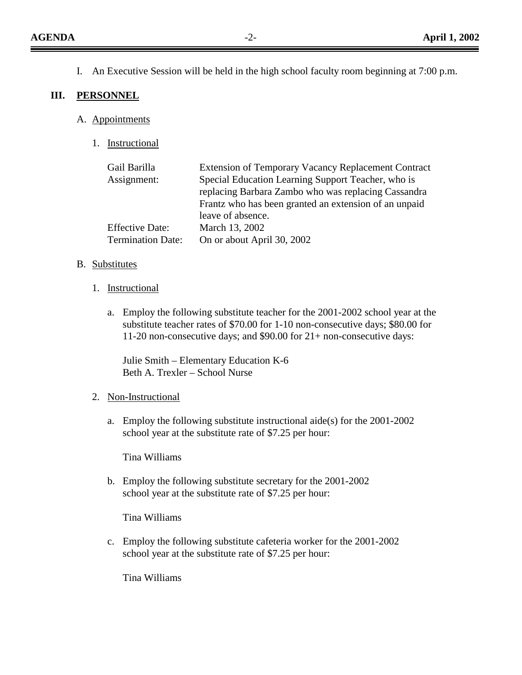I. An Executive Session will be held in the high school faculty room beginning at 7:00 p.m.

#### **III. PERSONNEL**

- A. Appointments
	- 1. Instructional

| Gail Barilla             | <b>Extension of Temporary Vacancy Replacement Contract</b> |
|--------------------------|------------------------------------------------------------|
| Assignment:              | Special Education Learning Support Teacher, who is         |
|                          | replacing Barbara Zambo who was replacing Cassandra        |
|                          | Frantz who has been granted an extension of an unpaid      |
|                          | leave of absence.                                          |
| <b>Effective Date:</b>   | March 13, 2002                                             |
| <b>Termination Date:</b> | On or about April 30, 2002                                 |
|                          |                                                            |

#### B. Substitutes

- 1. Instructional
	- a. Employ the following substitute teacher for the 2001-2002 school year at the substitute teacher rates of \$70.00 for 1-10 non-consecutive days; \$80.00 for 11-20 non-consecutive days; and \$90.00 for 21+ non-consecutive days:

Julie Smith – Elementary Education K-6 Beth A. Trexler – School Nurse

#### 2. Non-Instructional

a. Employ the following substitute instructional aide(s) for the 2001-2002 school year at the substitute rate of \$7.25 per hour:

Tina Williams

b. Employ the following substitute secretary for the 2001-2002 school year at the substitute rate of \$7.25 per hour:

Tina Williams

c. Employ the following substitute cafeteria worker for the 2001-2002 school year at the substitute rate of \$7.25 per hour:

Tina Williams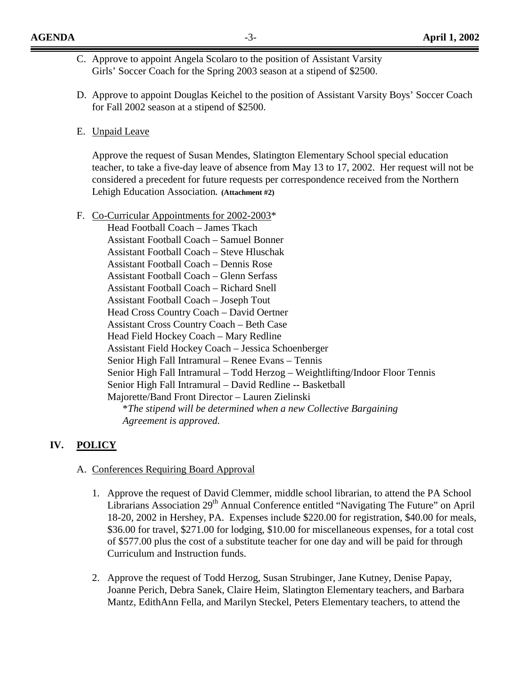- C. Approve to appoint Angela Scolaro to the position of Assistant Varsity Girls' Soccer Coach for the Spring 2003 season at a stipend of \$2500.
- D. Approve to appoint Douglas Keichel to the position of Assistant Varsity Boys' Soccer Coach for Fall 2002 season at a stipend of \$2500.
- E. Unpaid Leave

Approve the request of Susan Mendes, Slatington Elementary School special education teacher, to take a five-day leave of absence from May 13 to 17, 2002. Her request will not be considered a precedent for future requests per correspondence received from the Northern Lehigh Education Association**. (Attachment #2)**

F. Co-Curricular Appointments for 2002-2003\* Head Football Coach – James Tkach Assistant Football Coach – Samuel Bonner Assistant Football Coach – Steve Hluschak Assistant Football Coach – Dennis Rose Assistant Football Coach – Glenn Serfass Assistant Football Coach – Richard Snell Assistant Football Coach – Joseph Tout Head Cross Country Coach – David Oertner Assistant Cross Country Coach – Beth Case Head Field Hockey Coach – Mary Redline Assistant Field Hockey Coach – Jessica Schoenberger Senior High Fall Intramural – Renee Evans – Tennis Senior High Fall Intramural – Todd Herzog – Weightlifting/Indoor Floor Tennis Senior High Fall Intramural – David Redline -- Basketball Majorette/Band Front Director – Lauren Zielinski \**The stipend will be determined when a new Collective Bargaining Agreement is approved.* 

# **IV. POLICY**

#### A. Conferences Requiring Board Approval

- 1. Approve the request of David Clemmer, middle school librarian, to attend the PA School Librarians Association 29<sup>th</sup> Annual Conference entitled "Navigating The Future" on April 18-20, 2002 in Hershey, PA. Expenses include \$220.00 for registration, \$40.00 for meals, \$36.00 for travel, \$271.00 for lodging, \$10.00 for miscellaneous expenses, for a total cost of \$577.00 plus the cost of a substitute teacher for one day and will be paid for through Curriculum and Instruction funds.
- 2. Approve the request of Todd Herzog, Susan Strubinger, Jane Kutney, Denise Papay, Joanne Perich, Debra Sanek, Claire Heim, Slatington Elementary teachers, and Barbara Mantz, EdithAnn Fella, and Marilyn Steckel, Peters Elementary teachers, to attend the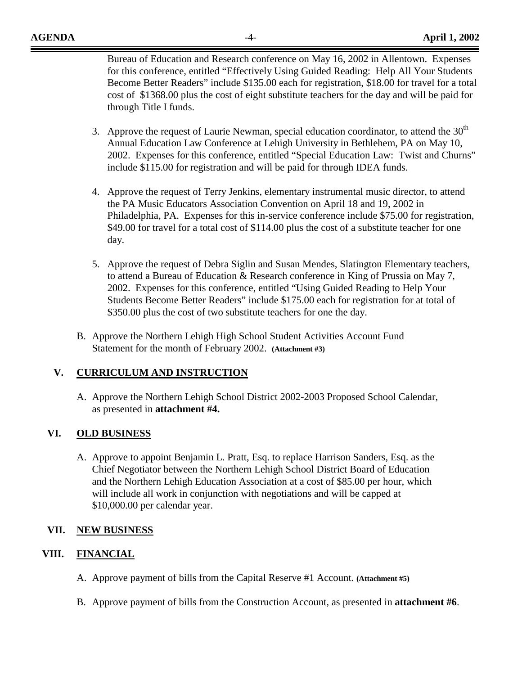Bureau of Education and Research conference on May 16, 2002 in Allentown. Expenses for this conference, entitled "Effectively Using Guided Reading: Help All Your Students Become Better Readers" include \$135.00 each for registration, \$18.00 for travel for a total cost of \$1368.00 plus the cost of eight substitute teachers for the day and will be paid for through Title I funds.

- 3. Approve the request of Laurie Newman, special education coordinator, to attend the  $30<sup>th</sup>$ Annual Education Law Conference at Lehigh University in Bethlehem, PA on May 10, 2002. Expenses for this conference, entitled "Special Education Law: Twist and Churns" include \$115.00 for registration and will be paid for through IDEA funds.
- 4. Approve the request of Terry Jenkins, elementary instrumental music director, to attend the PA Music Educators Association Convention on April 18 and 19, 2002 in Philadelphia, PA. Expenses for this in-service conference include \$75.00 for registration, \$49.00 for travel for a total cost of \$114.00 plus the cost of a substitute teacher for one day.
- 5. Approve the request of Debra Siglin and Susan Mendes, Slatington Elementary teachers, to attend a Bureau of Education & Research conference in King of Prussia on May 7, 2002. Expenses for this conference, entitled "Using Guided Reading to Help Your Students Become Better Readers" include \$175.00 each for registration for at total of \$350.00 plus the cost of two substitute teachers for one the day.
- B. Approve the Northern Lehigh High School Student Activities Account Fund Statement for the month of February 2002. **(Attachment #3)**

## **V. CURRICULUM AND INSTRUCTION**

A. Approve the Northern Lehigh School District 2002-2003 Proposed School Calendar, as presented in **attachment #4.** 

## **VI. OLD BUSINESS**

A. Approve to appoint Benjamin L. Pratt, Esq. to replace Harrison Sanders, Esq. as the Chief Negotiator between the Northern Lehigh School District Board of Education and the Northern Lehigh Education Association at a cost of \$85.00 per hour, which will include all work in conjunction with negotiations and will be capped at \$10,000.00 per calendar year.

## **VII. NEW BUSINESS**

# **VIII. FINANCIAL**

- A. Approve payment of bills from the Capital Reserve #1 Account. **(Attachment #5)**
- B. Approve payment of bills from the Construction Account, as presented in **attachment #6**.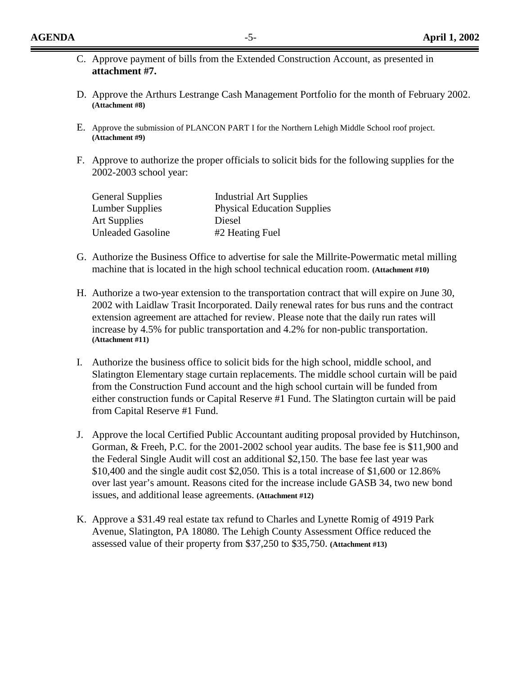- C. Approve payment of bills from the Extended Construction Account, as presented in **attachment #7.**
- D. Approve the Arthurs Lestrange Cash Management Portfolio for the month of February 2002. **(Attachment #8)**
- E. Approve the submission of PLANCON PART I for the Northern Lehigh Middle School roof project. **(Attachment #9)**
- F. Approve to authorize the proper officials to solicit bids for the following supplies for the 2002-2003 school year:

| <b>General Supplies</b>  | <b>Industrial Art Supplies</b>     |
|--------------------------|------------------------------------|
| <b>Lumber Supplies</b>   | <b>Physical Education Supplies</b> |
| <b>Art Supplies</b>      | Diesel                             |
| <b>Unleaded Gasoline</b> | #2 Heating Fuel                    |

- G. Authorize the Business Office to advertise for sale the Millrite-Powermatic metal milling machine that is located in the high school technical education room. **(Attachment #10)**
- H. Authorize a two-year extension to the transportation contract that will expire on June 30, 2002 with Laidlaw Trasit Incorporated. Daily renewal rates for bus runs and the contract extension agreement are attached for review. Please note that the daily run rates will increase by 4.5% for public transportation and 4.2% for non-public transportation. **(Attachment #11)**
- I. Authorize the business office to solicit bids for the high school, middle school, and Slatington Elementary stage curtain replacements. The middle school curtain will be paid from the Construction Fund account and the high school curtain will be funded from either construction funds or Capital Reserve #1 Fund. The Slatington curtain will be paid from Capital Reserve #1 Fund.
- J. Approve the local Certified Public Accountant auditing proposal provided by Hutchinson, Gorman, & Freeh, P.C. for the 2001-2002 school year audits. The base fee is \$11,900 and the Federal Single Audit will cost an additional \$2,150. The base fee last year was \$10,400 and the single audit cost \$2,050. This is a total increase of \$1,600 or 12.86% over last year's amount. Reasons cited for the increase include GASB 34, two new bond issues, and additional lease agreements. **(Attachment #12)**
- K. Approve a \$31.49 real estate tax refund to Charles and Lynette Romig of 4919 Park Avenue, Slatington, PA 18080. The Lehigh County Assessment Office reduced the assessed value of their property from \$37,250 to \$35,750. **(Attachment #13)**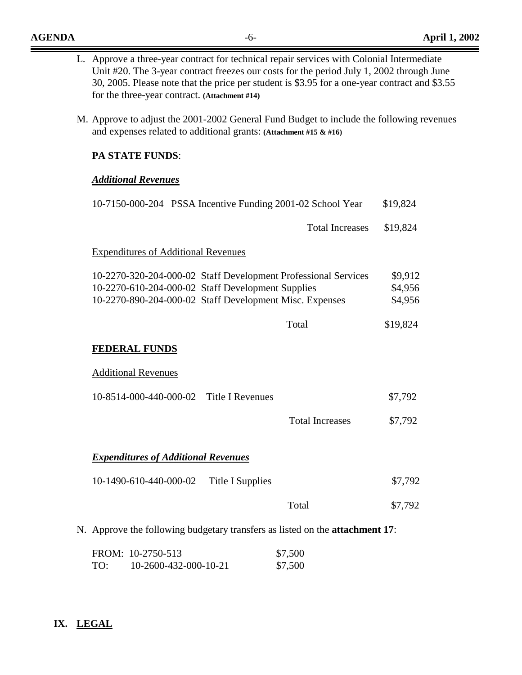$\equiv$   $\equiv$ 

|  | M. Approve to adjust the 2001-2002 General Fund Budget to include the following revenues                     |                        |                    |  |  |
|--|--------------------------------------------------------------------------------------------------------------|------------------------|--------------------|--|--|
|  | and expenses related to additional grants: (Attachment #15 $\&$ #16)<br><b>PA STATE FUNDS:</b>               |                        |                    |  |  |
|  |                                                                                                              |                        |                    |  |  |
|  | <b>Additional Revenues</b>                                                                                   |                        |                    |  |  |
|  | 10-7150-000-204 PSSA Incentive Funding 2001-02 School Year                                                   |                        | \$19,824           |  |  |
|  |                                                                                                              | <b>Total Increases</b> | \$19,824           |  |  |
|  | <b>Expenditures of Additional Revenues</b>                                                                   |                        |                    |  |  |
|  | 10-2270-320-204-000-02 Staff Development Professional Services                                               |                        | \$9,912            |  |  |
|  | 10-2270-610-204-000-02 Staff Development Supplies<br>10-2270-890-204-000-02 Staff Development Misc. Expenses |                        | \$4,956<br>\$4,956 |  |  |
|  |                                                                                                              |                        |                    |  |  |
|  |                                                                                                              | Total                  | \$19,824           |  |  |
|  | <b>FEDERAL FUNDS</b>                                                                                         |                        |                    |  |  |
|  | <b>Additional Revenues</b>                                                                                   |                        |                    |  |  |
|  | <b>Title I Revenues</b><br>10-8514-000-440-000-02                                                            |                        | \$7,792            |  |  |
|  |                                                                                                              | <b>Total Increases</b> | \$7,792            |  |  |
|  | <b>Expenditures of Additional Revenues</b>                                                                   |                        |                    |  |  |
|  | 10-1490-610-440-000-02<br><b>Title I Supplies</b>                                                            |                        | \$7,792            |  |  |
|  |                                                                                                              | Total                  | \$7,792            |  |  |

# **IX. LEGAL**